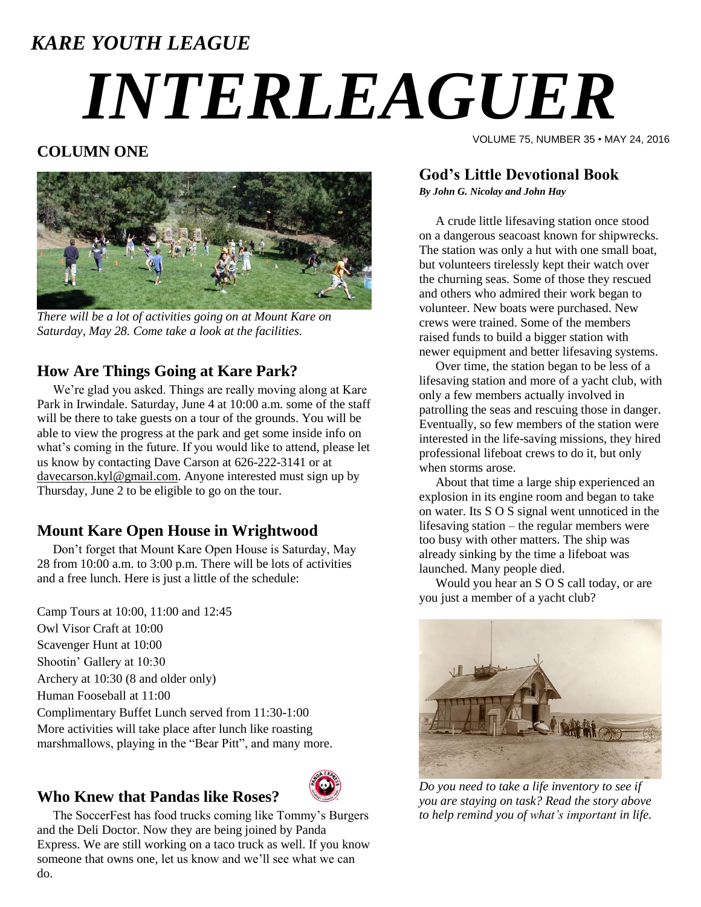# *KARE YOUTH LEAGUE INTERLEAGUER*

# **COLUMN ONE**



*There will be a lot of activities going on at Mount Kare on Saturday, May 28. Come take a look at the facilities.*

# **How Are Things Going at Kare Park?**

 We're glad you asked. Things are really moving along at Kare Park in Irwindale. Saturday, June 4 at 10:00 a.m. some of the staff will be there to take guests on a tour of the grounds. You will be able to view the progress at the park and get some inside info on what's coming in the future. If you would like to attend, please let us know by contacting Dave Carson at 626-222-3141 or at [davecarson.kyl@gmail.com.](mailto:davecarson.kyl@gmail.com) Anyone interested must sign up by Thursday, June 2 to be eligible to go on the tour.

# **Mount Kare Open House in Wrightwood**

 Don't forget that Mount Kare Open House is Saturday, May 28 from 10:00 a.m. to 3:00 p.m. There will be lots of activities and a free lunch. Here is just a little of the schedule:

Camp Tours at 10:00, 11:00 and 12:45 Owl Visor Craft at 10:00 Scavenger Hunt at 10:00 Shootin' Gallery at 10:30 Archery at 10:30 (8 and older only) Human Fooseball at 11:00 Complimentary Buffet Lunch served from 11:30-1:00 More activities will take place after lunch like roasting marshmallows, playing in the "Bear Pitt", and many more.

## **Who Knew that Pandas like Roses?**



 The SoccerFest has food trucks coming like Tommy's Burgers and the Deli Doctor. Now they are being joined by Panda Express. We are still working on a taco truck as well. If you know someone that owns one, let us know and we'll see what we can do.

VOLUME 75, NUMBER 35 • MAY 24, 2016

## **God's Little Devotional Book**

*By John G. Nicolay and John Hay*

A crude little lifesaving station once stood on a dangerous seacoast known for shipwrecks. The station was only a hut with one small boat, but volunteers tirelessly kept their watch over the churning seas. Some of those they rescued and others who admired their work began to volunteer. New boats were purchased. New crews were trained. Some of the members raised funds to build a bigger station with newer equipment and better lifesaving systems.

Over time, the station began to be less of a lifesaving station and more of a yacht club, with only a few members actually involved in patrolling the seas and rescuing those in danger. Eventually, so few members of the station were interested in the life-saving missions, they hired professional lifeboat crews to do it, but only when storms arose.

About that time a large ship experienced an explosion in its engine room and began to take on water. Its S O S signal went unnoticed in the lifesaving station – the regular members were too busy with other matters. The ship was already sinking by the time a lifeboat was launched. Many people died.

Would you hear an S O S call today, or are you just a member of a yacht club?



*Do you need to take a life inventory to see if you are staying on task? Read the story above to help remind you of what's important in life.*